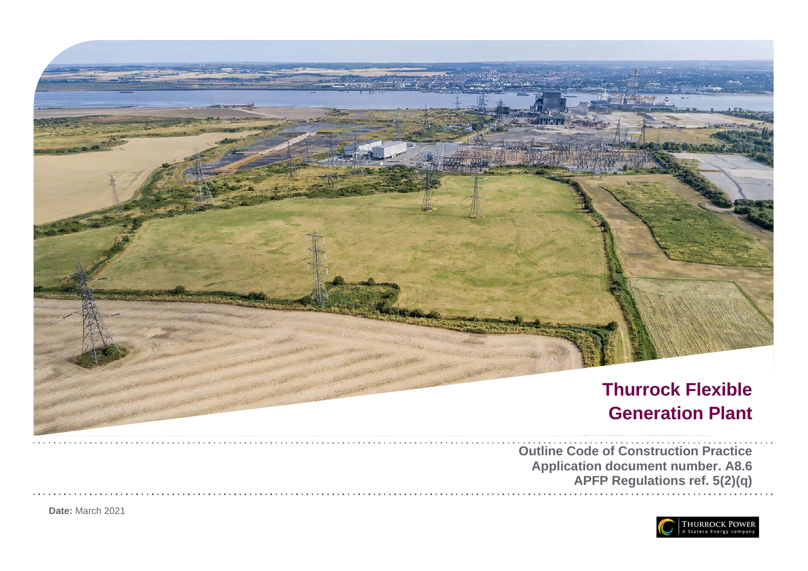

**APFP Regulations ref. 5(2)(q)**



**Date:** March 202 1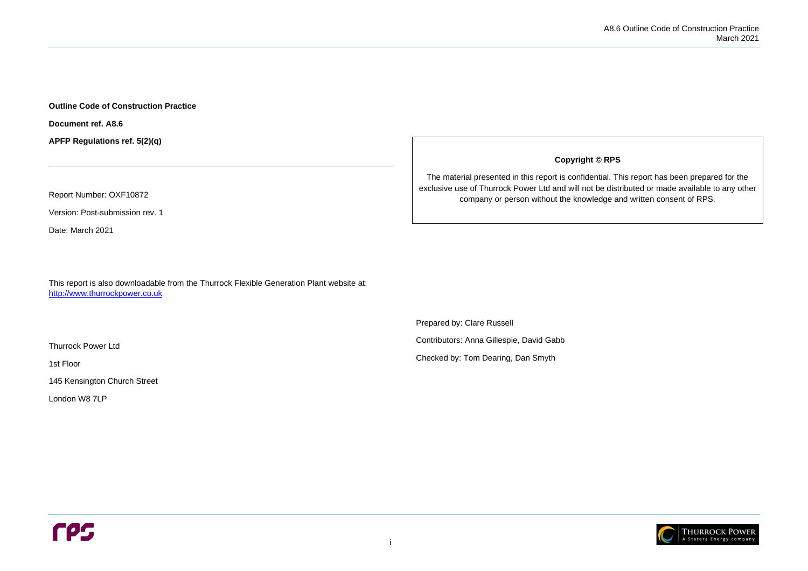

### **Outline Code of Construction Practice**

**Document ref. A8.6**

**APFP Regulations ref. 5(2)(q)**

Report Number: OXF10872

Version: Post-submission rev. 1

Date: March 2021

This report is also downloadable from the Thurrock Flexible Generation Plant website at: [http://www.thurrockpower.co.uk](http://www.thurrockpower.co.uk/)

Thurrock Power Ltd

1st Floor

145 Kensington Church Street

London W8 7LP

**Copyright © RPS**

The material presented in this report is confidential. This report has been prepared for the exclusive use of Thurrock Power Ltd and will not be distributed or made available to any other company or person without the knowledge and written consent of RPS.

Prepared by: Clare Russell

Contributors: Anna Gillespie, David Gabb

Checked by: Tom Dearing, Dan Smyth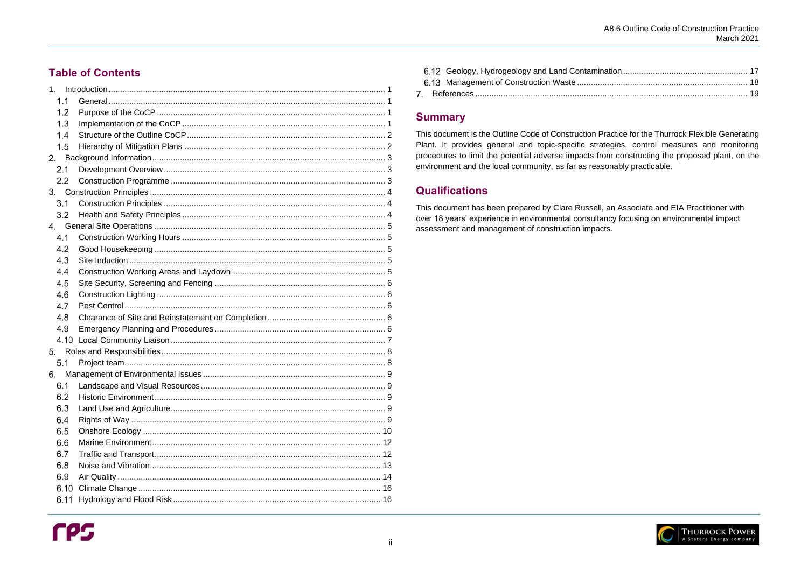## **Table of Contents**

| 1 <sub>1</sub> |  |
|----------------|--|
| 1.1            |  |
| 1.2            |  |
| 1.3            |  |
| 1.4            |  |
| 1.5            |  |
| 2.             |  |
| 2.1            |  |
| 2.2            |  |
|                |  |
| 3.1            |  |
| 3.2            |  |
|                |  |
| 4.1            |  |
| 4.2            |  |
| 4.3            |  |
| 4.4            |  |
| 4.5            |  |
| 4.6            |  |
| 4.7            |  |
| 4.8            |  |
| 4.9            |  |
| 4.10           |  |
| 5 <sub>1</sub> |  |
| 5.1            |  |
| 6.             |  |
| 6.1            |  |
| 6.2            |  |
| 6.3            |  |
| 6.4            |  |
| 6.5            |  |
| 6.6            |  |
| 6.7            |  |
| 6.8            |  |
| 6.9            |  |
| 6.10           |  |
| 6.11           |  |

## **Summary**

This document is the Outline Code of Construction Practice for the Thurrock Flexible Generating Plant. It provides general and topic-specific strategies, control measures and monitoring procedures to limit the potential adverse impacts from constructing the proposed plant, on the environment and the local community, as far as reasonably practicable.

# **Qualifications**

This document has been prepared by Clare Russell, an Associate and EIA Practitioner with over 18 years' experience in environmental consultancy focusing on environmental impact assessment and management of construction impacts.

A8.6 Outline Code of Construction Practice **March 2021** 

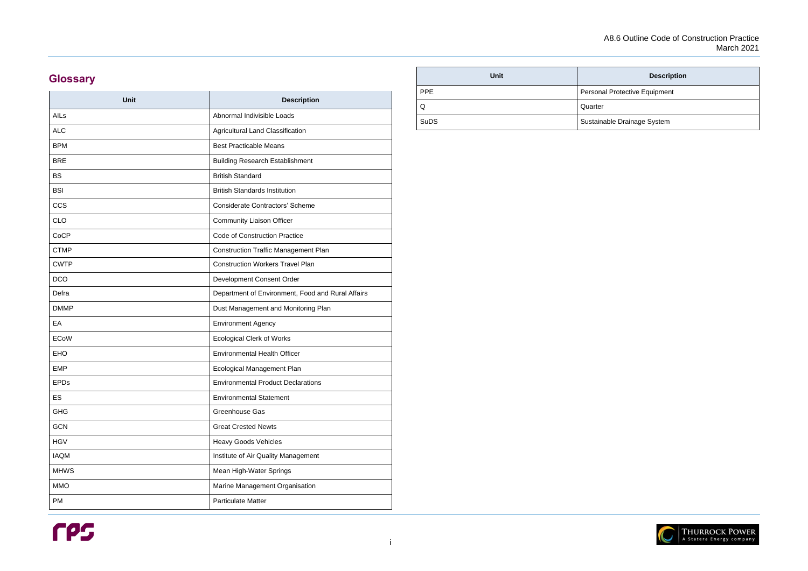### **Description**

Protective Equipment

ole Drainage System



# **Glossary**

| <b>Description</b>                                |
|---------------------------------------------------|
| Abnormal Indivisible Loads                        |
| Agricultural Land Classification                  |
| <b>Best Practicable Means</b>                     |
| <b>Building Research Establishment</b>            |
| <b>British Standard</b>                           |
| <b>British Standards Institution</b>              |
| <b>Considerate Contractors' Scheme</b>            |
| <b>Community Liaison Officer</b>                  |
| <b>Code of Construction Practice</b>              |
| <b>Construction Traffic Management Plan</b>       |
| <b>Construction Workers Travel Plan</b>           |
| Development Consent Order                         |
| Department of Environment, Food and Rural Affairs |
| Dust Management and Monitoring Plan               |
| <b>Environment Agency</b>                         |
| <b>Ecological Clerk of Works</b>                  |
| <b>Environmental Health Officer</b>               |
| Ecological Management Plan                        |
| <b>Environmental Product Declarations</b>         |
| <b>Environmental Statement</b>                    |
| Greenhouse Gas                                    |
| <b>Great Crested Newts</b>                        |
| <b>Heavy Goods Vehicles</b>                       |
| Institute of Air Quality Management               |
| Mean High-Water Springs                           |
| Marine Management Organisation                    |
| <b>Particulate Matter</b>                         |
|                                                   |

| <b>Unit</b> |            |
|-------------|------------|
| <b>PPE</b>  | Personal F |
| Q           | Quarter    |
| <b>SuDS</b> | Sustainabl |

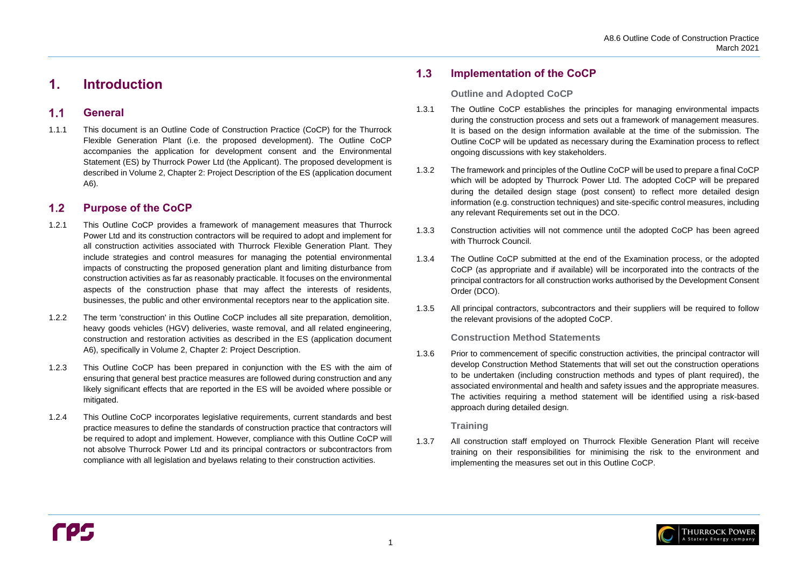

#### <span id="page-4-1"></span> $1.1$ **General**

# <span id="page-4-0"></span>**1. Introduction**

#### <span id="page-4-2"></span> $1.2$ **Purpose of the CoCP**

1.1.1 This document is an Outline Code of Construction Practice (CoCP) for the Thurrock Flexible Generation Plant (i.e. the proposed development). The Outline CoCP accompanies the application for development consent and the Environmental Statement (ES) by Thurrock Power Ltd (the Applicant). The proposed development is described in Volume 2, Chapter 2: Project Description of the ES (application document A6).

#### <span id="page-4-3"></span> $1.3$ **Implementation of the CoCP**

- 1.2.1 This Outline CoCP provides a framework of management measures that Thurrock Power Ltd and its construction contractors will be required to adopt and implement for all construction activities associated with Thurrock Flexible Generation Plant. They include strategies and control measures for managing the potential environmental impacts of constructing the proposed generation plant and limiting disturbance from construction activities as far as reasonably practicable. It focuses on the environmental aspects of the construction phase that may affect the interests of residents, businesses, the public and other environmental receptors near to the application site.
- 1.2.2 The term 'construction' in this Outline CoCP includes all site preparation, demolition, heavy goods vehicles (HGV) deliveries, waste removal, and all related engineering, construction and restoration activities as described in the ES (application document A6), specifically in Volume 2, Chapter 2: Project Description.
- 1.2.3 This Outline CoCP has been prepared in conjunction with the ES with the aim of ensuring that general best practice measures are followed during construction and any likely significant effects that are reported in the ES will be avoided where possible or mitigated.
- 1.2.4 This Outline CoCP incorporates legislative requirements, current standards and best practice measures to define the standards of construction practice that contractors will be required to adopt and implement. However, compliance with this Outline CoCP will not absolve Thurrock Power Ltd and its principal contractors or subcontractors from compliance with all legislation and byelaws relating to their construction activities.

### **Outline and Adopted CoCP**

- 1.3.1 The Outline CoCP establishes the principles for managing environmental impacts during the construction process and sets out a framework of management measures. It is based on the design information available at the time of the submission. The Outline CoCP will be updated as necessary during the Examination process to reflect ongoing discussions with key stakeholders.
- 1.3.2 The framework and principles of the Outline CoCP will be used to prepare a final CoCP which will be adopted by Thurrock Power Ltd. The adopted CoCP will be prepared during the detailed design stage (post consent) to reflect more detailed design information (e.g. construction techniques) and site-specific control measures, including any relevant Requirements set out in the DCO.
- 1.3.3 Construction activities will not commence until the adopted CoCP has been agreed with Thurrock Council.
- 1.3.4 The Outline CoCP submitted at the end of the Examination process, or the adopted CoCP (as appropriate and if available) will be incorporated into the contracts of the principal contractors for all construction works authorised by the Development Consent Order (DCO).
- 1.3.5 All principal contractors, subcontractors and their suppliers will be required to follow the relevant provisions of the adopted CoCP.

### **Construction Method Statements**

1.3.6 Prior to commencement of specific construction activities, the principal contractor will develop Construction Method Statements that will set out the construction operations to be undertaken (including construction methods and types of plant required), the associated environmental and health and safety issues and the appropriate measures. The activities requiring a method statement will be identified using a risk-based approach during detailed design.

### **Training**

1.3.7 All construction staff employed on Thurrock Flexible Generation Plant will receive training on their responsibilities for minimising the risk to the environment and implementing the measures set out in this Outline CoCP.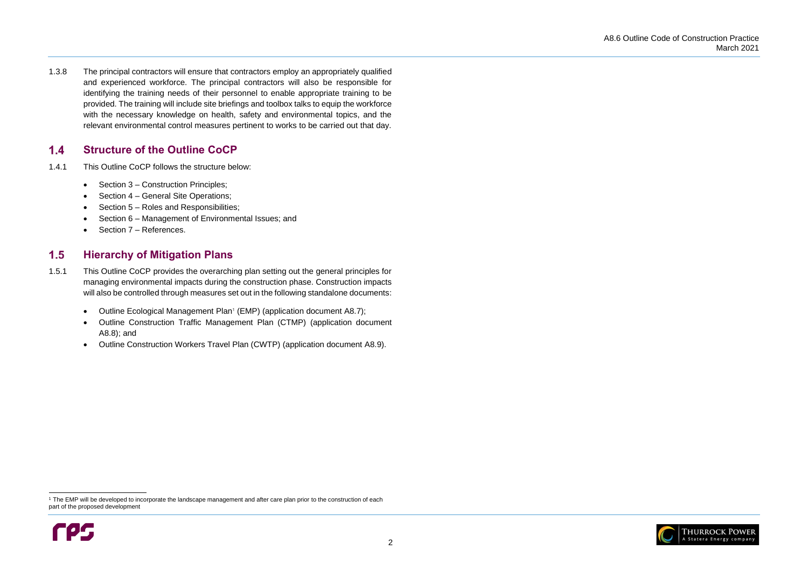

#### <span id="page-5-0"></span> $1.4$ **Structure of the Outline CoCP**

- 1.4.1 This Outline CoCP follows the structure below:
	- Section [3](#page-7-0) Construction Principles;
	- Section [4](#page-8-0) General Site Operations;
	- Section [5](#page-11-0) Roles and Responsibilities;
	- Section [6](#page-12-0) Management of Environmental Issues; and
	- Section [7](#page-22-0) References.

1.3.8 The principal contractors will ensure that contractors employ an appropriately qualified and experienced workforce. The principal contractors will also be responsible for identifying the training needs of their personnel to enable appropriate training to be provided. The training will include site briefings and toolbox talks to equip the workforce with the necessary knowledge on health, safety and environmental topics, and the relevant environmental control measures pertinent to works to be carried out that day.

#### <span id="page-5-1"></span> $1.5$ **Hierarchy of Mitigation Plans**

<sup>&</sup>lt;sup>1</sup> The EMP will be developed to incorporate the landscape management and after care plan prior to the construction of each part of the proposed development



- 1.5.1 This Outline CoCP provides the overarching plan setting out the general principles for managing environmental impacts during the construction phase. Construction impacts will also be controlled through measures set out in the following standalone documents:
	- Outline Ecological Management Plan<sup>1</sup> (EMP) (application document A8.7);
	- Outline Construction Traffic Management Plan (CTMP) (application document A8.8); and
	- Outline Construction Workers Travel Plan (CWTP) (application document A8.9).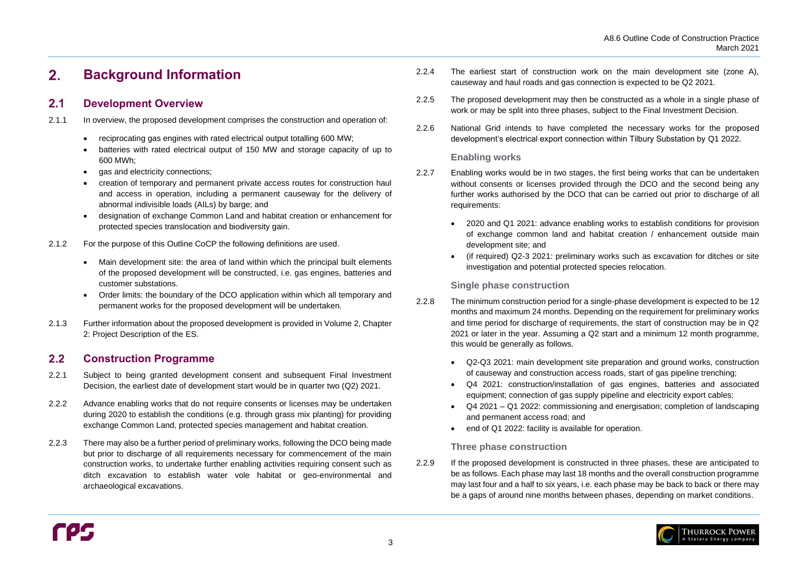#### <span id="page-6-0"></span>**Background Information**   $2.$

#### <span id="page-6-1"></span> $2.1$ **Development Overview**

#### <span id="page-6-2"></span> $2.2$ **Construction Programme**

- 2.1.1 In overview, the proposed development comprises the construction and operation of:
	- reciprocating gas engines with rated electrical output totalling 600 MW;
	- batteries with rated electrical output of 150 MW and storage capacity of up to 600 MWh;
	- gas and electricity connections;
	- creation of temporary and permanent private access routes for construction haul and access in operation, including a permanent causeway for the delivery of abnormal indivisible loads (AILs) by barge; and
	- designation of exchange Common Land and habitat creation or enhancement for protected species translocation and biodiversity gain.
- 2.1.2 For the purpose of this Outline CoCP the following definitions are used.
	- Main development site: the area of land within which the principal built elements of the proposed development will be constructed, i.e. gas engines, batteries and customer substations.
	- Order limits: the boundary of the DCO application within which all temporary and permanent works for the proposed development will be undertaken.
- 2.1.3 Further information about the proposed development is provided in Volume 2, Chapter 2: Project Description of the ES.
- 2.2.8 The minimum construction period for a single-phase development is expected to be 12 months and maximum 24 months. Depending on the requirement for preliminary works and time period for discharge of requirements, the start of construction may be in Q2 2021 or later in the year. Assuming a Q2 start and a minimum 12 month programme, this would be generally as follows.
	- Q2-Q3 2021: main development site preparation and ground works, construction of causeway and construction access roads, start of gas pipeline trenching;
	- equipment; connection of gas supply pipeline and electricity export cables;
	- and permanent access road; and
	- end of Q1 2022: facility is available for operation.
- 2.2.1 Subject to being granted development consent and subsequent Final Investment Decision, the earliest date of development start would be in quarter two (Q2) 2021.
- 2.2.2 Advance enabling works that do not require consents or licenses may be undertaken during 2020 to establish the conditions (e.g. through grass mix planting) for providing exchange Common Land, protected species management and habitat creation.
- 2.2.3 There may also be a further period of preliminary works, following the DCO being made but prior to discharge of all requirements necessary for commencement of the main construction works, to undertake further enabling activities requiring consent such as ditch excavation to establish water vole habitat or geo-environmental and archaeological excavations.

2.2.9 If the proposed development is constructed in three phases, these are anticipated to be as follows. Each phase may last 18 months and the overall construction programme may last four and a half to six years, i.e. each phase may be back to back or there may be a gaps of around nine months between phases, depending on market conditions.

- 2.2.4 The earliest start of construction work on the main development site (zone A), causeway and haul roads and gas connection is expected to be Q2 2021.
- 2.2.5 The proposed development may then be constructed as a whole in a single phase of work or may be split into three phases, subject to the Final Investment Decision.
- 2.2.6 National Grid intends to have completed the necessary works for the proposed development's electrical export connection within Tilbury Substation by Q1 2022.

### **Enabling works**

- 2.2.7 Enabling works would be in two stages, the first being works that can be undertaken without consents or licenses provided through the DCO and the second being any further works authorised by the DCO that can be carried out prior to discharge of all requirements:
	- 2020 and Q1 2021: advance enabling works to establish conditions for provision development site; and
	- investigation and potential protected species relocation.

of exchange common land and habitat creation / enhancement outside main

• (if required) Q2-3 2021: preliminary works such as excavation for ditches or site

## **Single phase construction**

• Q4 2021: construction/installation of gas engines, batteries and associated • Q4 2021 – Q1 2022: commissioning and energisation; completion of landscaping



### **Three phase construction**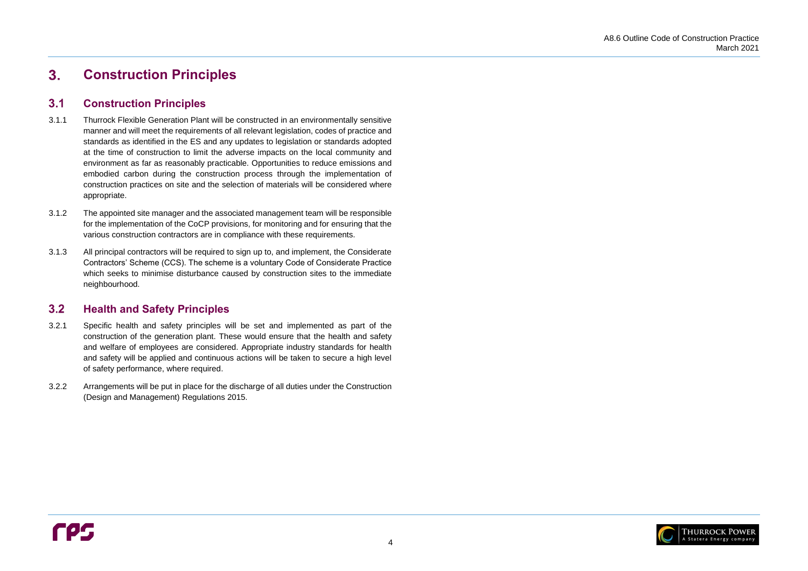#### <span id="page-7-0"></span> $3.$ **Construction Principles**

#### <span id="page-7-1"></span> $3.1$ **Construction Principles**



#### <span id="page-7-2"></span> $3.2$ **Health and Safety Principles**

- 3.1.1 Thurrock Flexible Generation Plant will be constructed in an environmentally sensitive manner and will meet the requirements of all relevant legislation, codes of practice and standards as identified in the ES and any updates to legislation or standards adopted at the time of construction to limit the adverse impacts on the local community and environment as far as reasonably practicable. Opportunities to reduce emissions and embodied carbon during the construction process through the implementation of construction practices on site and the selection of materials will be considered where appropriate.
- 3.1.2 The appointed site manager and the associated management team will be responsible for the implementation of the CoCP provisions, for monitoring and for ensuring that the various construction contractors are in compliance with these requirements.
- 3.1.3 All principal contractors will be required to sign up to, and implement, the Considerate Contractors' Scheme (CCS). The scheme is a voluntary Code of Considerate Practice which seeks to minimise disturbance caused by construction sites to the immediate neighbourhood.

- 3.2.1 Specific health and safety principles will be set and implemented as part of the construction of the generation plant. These would ensure that the health and safety and welfare of employees are considered. Appropriate industry standards for health and safety will be applied and continuous actions will be taken to secure a high level of safety performance, where required.
- 3.2.2 Arrangements will be put in place for the discharge of all duties under the Construction (Design and Management) Regulations 2015.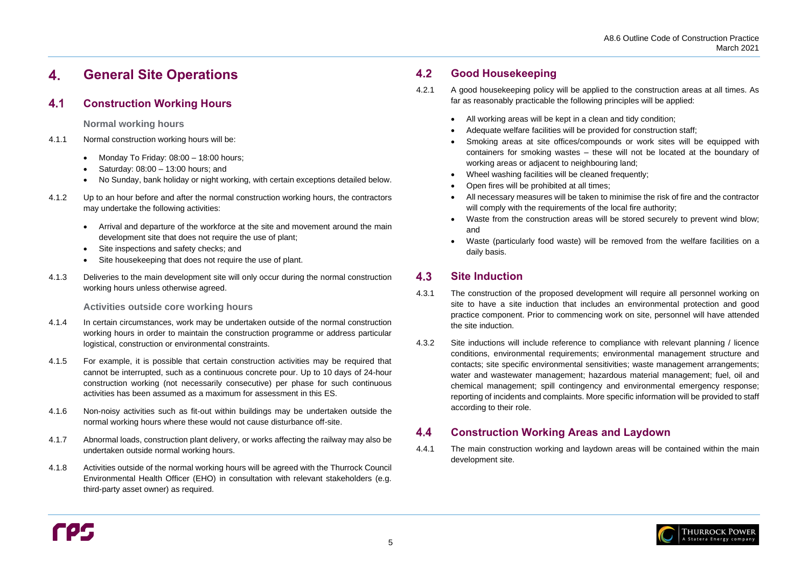#### <span id="page-8-0"></span>**General Site Operations**  4.

#### <span id="page-8-1"></span> $4.1$ **Construction Working Hours**

**Normal working hours** 

- 4.1.1 Normal construction working hours will be:
	- Monday To Friday:  $08:00 18:00$  hours;
	- Saturday: 08:00 13:00 hours; and
	- No Sunday, bank holiday or night working, with certain exceptions detailed below.
- 4.1.2 Up to an hour before and after the normal construction working hours, the contractors may undertake the following activities:
	- Arrival and departure of the workforce at the site and movement around the main development site that does not require the use of plant;
	- Site inspections and safety checks; and
	- Site housekeeping that does not require the use of plant.
- 4.1.3 Deliveries to the main development site will only occur during the normal construction working hours unless otherwise agreed.

**Activities outside core working hours**

#### <span id="page-8-2"></span> $4.2$ **Good Housekeeping**

- 4.1.4 In certain circumstances, work may be undertaken outside of the normal construction working hours in order to maintain the construction programme or address particular logistical, construction or environmental constraints.
- 4.1.5 For example, it is possible that certain construction activities may be required that cannot be interrupted, such as a continuous concrete pour. Up to 10 days of 24-hour construction working (not necessarily consecutive) per phase for such continuous activities has been assumed as a maximum for assessment in this ES.
- 4.1.6 Non-noisy activities such as fit-out within buildings may be undertaken outside the normal working hours where these would not cause disturbance off-site.
- 4.1.7 Abnormal loads, construction plant delivery, or works affecting the railway may also be undertaken outside normal working hours.
- 4.1.8 Activities outside of the normal working hours will be agreed with the Thurrock Council Environmental Health Officer (EHO) in consultation with relevant stakeholders (e.g. third-party asset owner) as required.

#### <span id="page-8-3"></span>**Site Induction** 4.3

#### <span id="page-8-4"></span> $4.4$ **Construction Working Areas and Laydown**

- 4.2.1 A good housekeeping policy will be applied to the construction areas at all times. As far as reasonably practicable the following principles will be applied:
	- All working areas will be kept in a clean and tidy condition;
	- Adequate welfare facilities will be provided for construction staff;
	- Smoking areas at site offices/compounds or work sites will be equipped with containers for smoking wastes – these will not be located at the boundary of working areas or adjacent to neighbouring land;
	- Wheel washing facilities will be cleaned frequently;
	- Open fires will be prohibited at all times;
	- All necessary measures will be taken to minimise the risk of fire and the contractor will comply with the requirements of the local fire authority;
	- Waste from the construction areas will be stored securely to prevent wind blow; and
	- daily basis.

• Waste (particularly food waste) will be removed from the welfare facilities on a



- 4.3.1 The construction of the proposed development will require all personnel working on site to have a site induction that includes an environmental protection and good practice component. Prior to commencing work on site, personnel will have attended the site induction.
- 4.3.2 Site inductions will include reference to compliance with relevant planning / licence conditions, environmental requirements; environmental management structure and contacts; site specific environmental sensitivities; waste management arrangements; water and wastewater management; hazardous material management; fuel, oil and chemical management; spill contingency and environmental emergency response; reporting of incidents and complaints. More specific information will be provided to staff according to their role.

4.4.1 The main construction working and laydown areas will be contained within the main development site.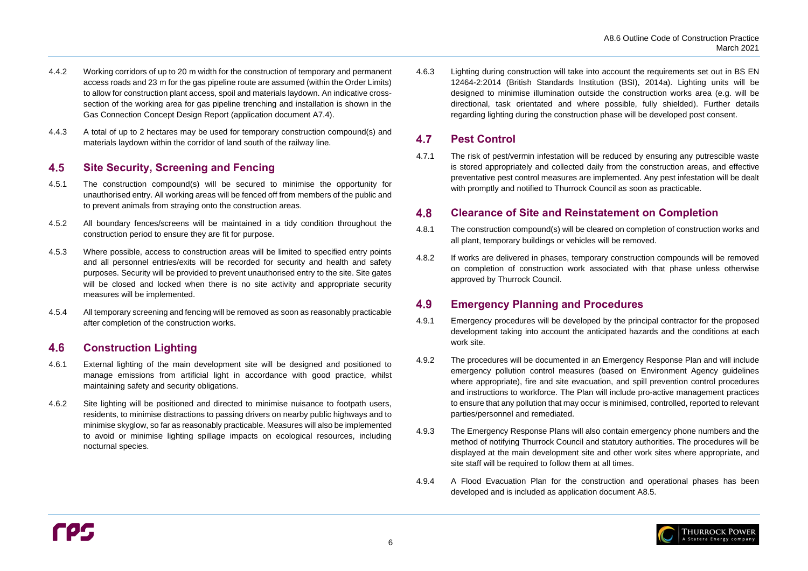

#### <span id="page-9-0"></span>4.5 **Site Security, Screening and Fencing**

- 4.4.2 Working corridors of up to 20 m width for the construction of temporary and permanent access roads and 23 m for the gas pipeline route are assumed (within the Order Limits) to allow for construction plant access, spoil and materials laydown. An indicative crosssection of the working area for gas pipeline trenching and installation is shown in the Gas Connection Concept Design Report (application document A7.4).
- 4.4.3 A total of up to 2 hectares may be used for temporary construction compound(s) and materials laydown within the corridor of land south of the railway line.

#### <span id="page-9-1"></span>**Construction Lighting** 4.6

- 4.5.1 The construction compound(s) will be secured to minimise the opportunity for unauthorised entry. All working areas will be fenced off from members of the public and to prevent animals from straying onto the construction areas.
- 4.5.2 All boundary fences/screens will be maintained in a tidy condition throughout the construction period to ensure they are fit for purpose.
- 4.5.3 Where possible, access to construction areas will be limited to specified entry points and all personnel entries/exits will be recorded for security and health and safety purposes. Security will be provided to prevent unauthorised entry to the site. Site gates will be closed and locked when there is no site activity and appropriate security measures will be implemented.
- 4.5.4 All temporary screening and fencing will be removed as soon as reasonably practicable after completion of the construction works.

#### <span id="page-9-2"></span>4.7 **Pest Control**

#### <span id="page-9-3"></span>4.8 **Clearance of Site and Reinstatement on Completion**

#### <span id="page-9-4"></span>4.9 **Emergency Planning and Procedures**

- 4.6.1 External lighting of the main development site will be designed and positioned to manage emissions from artificial light in accordance with good practice, whilst maintaining safety and security obligations.
- 4.6.2 Site lighting will be positioned and directed to minimise nuisance to footpath users, residents, to minimise distractions to passing drivers on nearby public highways and to minimise skyglow, so far as reasonably practicable. Measures will also be implemented to avoid or minimise lighting spillage impacts on ecological resources, including nocturnal species.

4.6.3 Lighting during construction will take into account the requirements set out in BS EN 12464-2:2014 (British Standards Institution (BSI), 2014a). Lighting units will be designed to minimise illumination outside the construction works area (e.g. will be directional, task orientated and where possible, fully shielded). Further details regarding lighting during the construction phase will be developed post consent.

4.7.1 The risk of pest/vermin infestation will be reduced by ensuring any putrescible waste is stored appropriately and collected daily from the construction areas, and effective preventative pest control measures are implemented. Any pest infestation will be dealt with promptly and notified to Thurrock Council as soon as practicable.

- 4.8.1 The construction compound(s) will be cleared on completion of construction works and all plant, temporary buildings or vehicles will be removed.
- 4.8.2 If works are delivered in phases, temporary construction compounds will be removed on completion of construction work associated with that phase unless otherwise approved by Thurrock Council.

- 4.9.1 Emergency procedures will be developed by the principal contractor for the proposed development taking into account the anticipated hazards and the conditions at each work site.
- 4.9.2 The procedures will be documented in an Emergency Response Plan and will include emergency pollution control measures (based on Environment Agency guidelines where appropriate), fire and site evacuation, and spill prevention control procedures and instructions to workforce. The Plan will include pro-active management practices to ensure that any pollution that may occur is minimised, controlled, reported to relevant parties/personnel and remediated.
- 4.9.3 The Emergency Response Plans will also contain emergency phone numbers and the method of notifying Thurrock Council and statutory authorities. The procedures will be displayed at the main development site and other work sites where appropriate, and site staff will be required to follow them at all times.
- 4.9.4 A Flood Evacuation Plan for the construction and operational phases has been developed and is included as application document A8.5.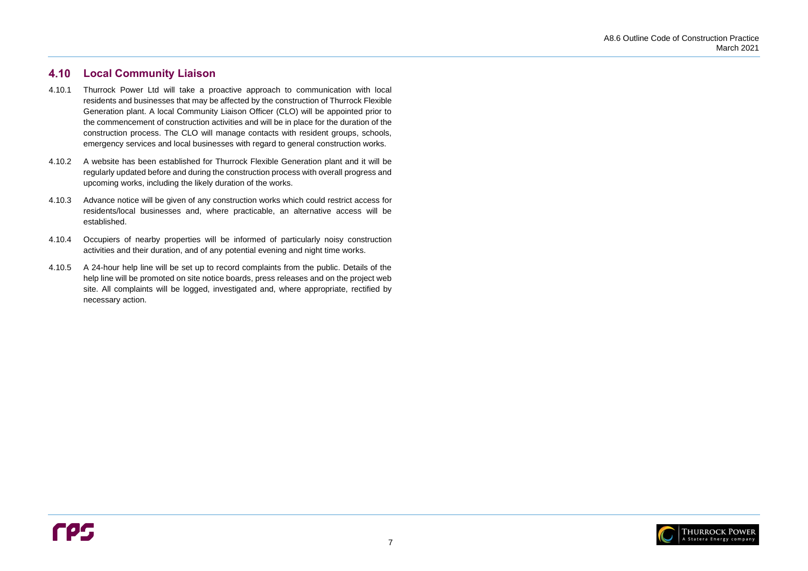

#### <span id="page-10-0"></span>**Local Community Liaison** 4.10

- 4.10.1 Thurrock Power Ltd will take a proactive approach to communication with local residents and businesses that may be affected by the construction of Thurrock Flexible Generation plant. A local Community Liaison Officer (CLO) will be appointed prior to the commencement of construction activities and will be in place for the duration of the construction process. The CLO will manage contacts with resident groups, schools, emergency services and local businesses with regard to general construction works.
- 4.10.2 A website has been established for Thurrock Flexible Generation plant and it will be regularly updated before and during the construction process with overall progress and upcoming works, including the likely duration of the works.
- 4.10.3 Advance notice will be given of any construction works which could restrict access for residents/local businesses and, where practicable, an alternative access will be established.
- 4.10.4 Occupiers of nearby properties will be informed of particularly noisy construction activities and their duration, and of any potential evening and night time works.
- 4.10.5 A 24-hour help line will be set up to record complaints from the public. Details of the help line will be promoted on site notice boards, press releases and on the project web site. All complaints will be logged, investigated and, where appropriate, rectified by necessary action.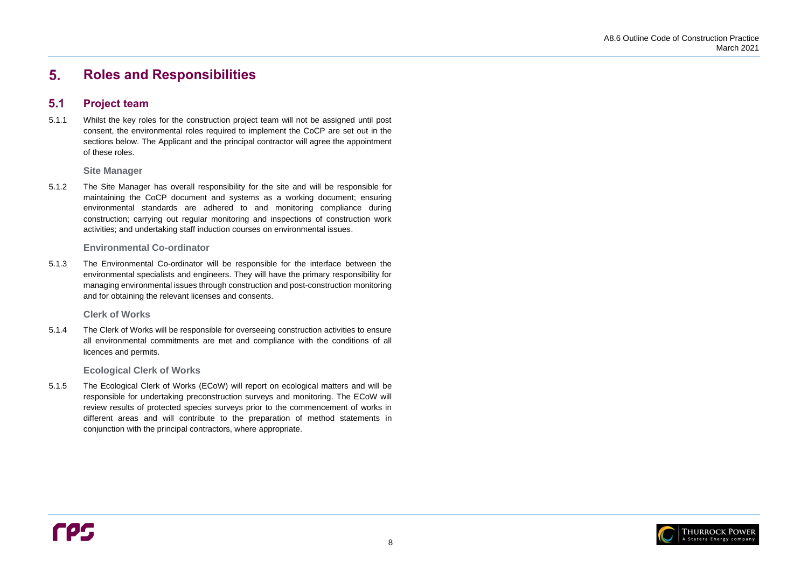

#### <span id="page-11-0"></span>**Roles and Responsibilities** 5.

#### <span id="page-11-1"></span> $5.1$ **Project team**

5.1.1 Whilst the key roles for the construction project team will not be assigned until post consent, the environmental roles required to implement the CoCP are set out in the sections below. The Applicant and the principal contractor will agree the appointment of these roles.

**Site Manager**

5.1.2 The Site Manager has overall responsibility for the site and will be responsible for maintaining the CoCP document and systems as a working document; ensuring environmental standards are adhered to and monitoring compliance during construction; carrying out regular monitoring and inspections of construction work activities; and undertaking staff induction courses on environmental issues.

### **Environmental Co-ordinator**

5.1.3 The Environmental Co-ordinator will be responsible for the interface between the environmental specialists and engineers. They will have the primary responsibility for managing environmental issues through construction and post-construction monitoring and for obtaining the relevant licenses and consents.

**Clerk of Works**

5.1.4 The Clerk of Works will be responsible for overseeing construction activities to ensure all environmental commitments are met and compliance with the conditions of all licences and permits.

**Ecological Clerk of Works**

5.1.5 The Ecological Clerk of Works (ECoW) will report on ecological matters and will be responsible for undertaking preconstruction surveys and monitoring. The ECoW will review results of protected species surveys prior to the commencement of works in different areas and will contribute to the preparation of method statements in conjunction with the principal contractors, where appropriate.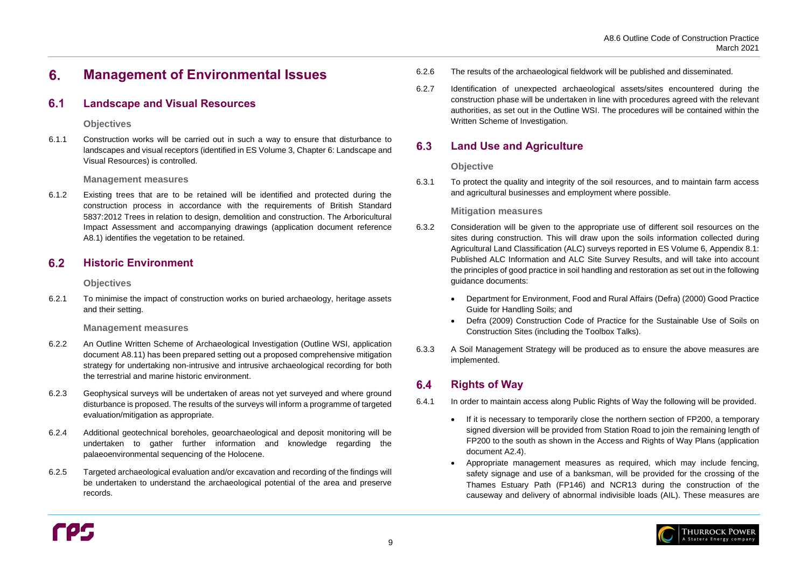#### <span id="page-12-0"></span> $6.$ **Management of Environmental Issues**

#### <span id="page-12-1"></span> $6.1$ **Landscape and Visual Resources**

### **Objectives**

6.1.1 Construction works will be carried out in such a way to ensure that disturbance to landscapes and visual receptors (identified in ES Volume 3, Chapter 6: Landscape and Visual Resources) is controlled.

### **Management measures**

#### <span id="page-12-2"></span> $6.2$ **Historic Environment**

6.1.2 Existing trees that are to be retained will be identified and protected during the construction process in accordance with the requirements of British Standard 5837:2012 Trees in relation to design, demolition and construction. The Arboricultural Impact Assessment and accompanying drawings (application document reference A8.1) identifies the vegetation to be retained.

### **Objectives**

6.2.1 To minimise the impact of construction works on buried archaeology, heritage assets and their setting.

### **Management measures**

#### <span id="page-12-3"></span>6.3 **Land Use and Agriculture**

- 6.2.2 An Outline Written Scheme of Archaeological Investigation (Outline WSI, application document A8.11) has been prepared setting out a proposed comprehensive mitigation strategy for undertaking non-intrusive and intrusive archaeological recording for both the terrestrial and marine historic environment.
- 6.2.3 Geophysical surveys will be undertaken of areas not yet surveyed and where ground disturbance is proposed. The results of the surveys will inform a programme of targeted evaluation/mitigation as appropriate.
- 6.2.4 Additional geotechnical boreholes, geoarchaeological and deposit monitoring will be undertaken to gather further information and knowledge regarding the palaeoenvironmental sequencing of the Holocene.
- 6.2.5 Targeted archaeological evaluation and/or excavation and recording of the findings will be undertaken to understand the archaeological potential of the area and preserve records.

#### <span id="page-12-4"></span>**Rights of Way**  $6.4$



6.2.7 Identification of unexpected archaeological assets/sites encountered during the construction phase will be undertaken in line with procedures agreed with the relevant authorities, as set out in the Outline WSI. The procedures will be contained within the Written Scheme of Investigation.

## **Objective**

6.3.1 To protect the quality and integrity of the soil resources, and to maintain farm access and agricultural businesses and employment where possible.

## **Mitigation measures**

- 6.3.2 Consideration will be given to the appropriate use of different soil resources on the sites during construction. This will draw upon the soils information collected during Agricultural Land Classification (ALC) surveys reported in ES Volume 6, Appendix 8.1: Published ALC Information and ALC Site Survey Results, and will take into account the principles of good practice in soil handling and restoration as set out in the following guidance documents:
	- Department for Environment, Food and Rural Affairs (Defra) (2000) Good Practice Guide for Handling Soils; and
	- Defra (2009) Construction Code of Practice for the Sustainable Use of Soils on Construction Sites (including the Toolbox Talks).
- 6.3.3 A Soil Management Strategy will be produced as to ensure the above measures are implemented.

6.4.1 In order to maintain access along Public Rights of Way the following will be provided.

- If it is necessary to temporarily close the northern section of FP200, a temporary document A2.4).
- 

signed diversion will be provided from Station Road to join the remaining length of FP200 to the south as shown in the Access and Rights of Way Plans (application

• Appropriate management measures as required, which may include fencing, safety signage and use of a banksman, will be provided for the crossing of the Thames Estuary Path (FP146) and NCR13 during the construction of the causeway and delivery of abnormal indivisible loads (AIL). These measures are

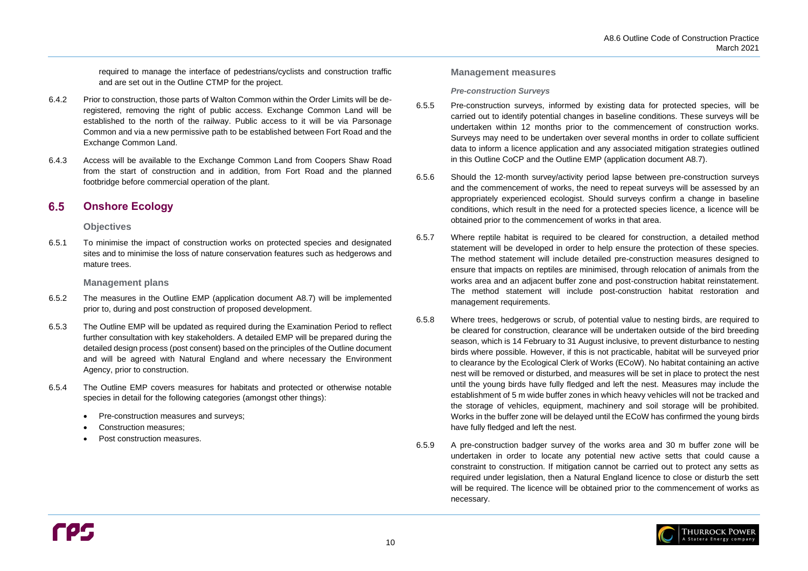

required to manage the interface of pedestrians/cyclists and construction traffic and are set out in the Outline CTMP for the project.

#### <span id="page-13-0"></span>6.5 **Onshore Ecology**

- 6.4.2 Prior to construction, those parts of Walton Common within the Order Limits will be deregistered, removing the right of public access. Exchange Common Land will be established to the north of the railway. Public access to it will be via Parsonage Common and via a new permissive path to be established between Fort Road and the Exchange Common Land.
- 6.4.3 Access will be available to the Exchange Common Land from Coopers Shaw Road from the start of construction and in addition, from Fort Road and the planned footbridge before commercial operation of the plant.

### **Objectives**

6.5.1 To minimise the impact of construction works on protected species and designated sites and to minimise the loss of nature conservation features such as hedgerows and mature trees.

### **Management plans**

- 6.5.2 The measures in the Outline EMP (application document A8.7) will be implemented prior to, during and post construction of proposed development.
- 6.5.3 The Outline EMP will be updated as required during the Examination Period to reflect further consultation with key stakeholders. A detailed EMP will be prepared during the detailed design process (post consent) based on the principles of the Outline document and will be agreed with Natural England and where necessary the Environment Agency, prior to construction.
- 6.5.4 The Outline EMP covers measures for habitats and protected or otherwise notable species in detail for the following categories (amongst other things):
	- Pre-construction measures and surveys;
	- Construction measures;
	- Post construction measures.

### **Management measures**

### *Pre-construction Surveys*

- 6.5.5 Pre-construction surveys, informed by existing data for protected species, will be carried out to identify potential changes in baseline conditions. These surveys will be undertaken within 12 months prior to the commencement of construction works. Surveys may need to be undertaken over several months in order to collate sufficient data to inform a licence application and any associated mitigation strategies outlined in this Outline CoCP and the Outline EMP (application document A8.7).
- 6.5.6 Should the 12-month survey/activity period lapse between pre-construction surveys and the commencement of works, the need to repeat surveys will be assessed by an appropriately experienced ecologist. Should surveys confirm a change in baseline conditions, which result in the need for a protected species licence, a licence will be obtained prior to the commencement of works in that area.
- 6.5.7 Where reptile habitat is required to be cleared for construction, a detailed method statement will be developed in order to help ensure the protection of these species. The method statement will include detailed pre-construction measures designed to ensure that impacts on reptiles are minimised, through relocation of animals from the works area and an adjacent buffer zone and post-construction habitat reinstatement. The method statement will include post-construction habitat restoration and management requirements.
- 6.5.8 Where trees, hedgerows or scrub, of potential value to nesting birds, are required to be cleared for construction, clearance will be undertaken outside of the bird breeding season, which is 14 February to 31 August inclusive, to prevent disturbance to nesting birds where possible. However, if this is not practicable, habitat will be surveyed prior to clearance by the Ecological Clerk of Works (ECoW). No habitat containing an active nest will be removed or disturbed, and measures will be set in place to protect the nest until the young birds have fully fledged and left the nest. Measures may include the establishment of 5 m wide buffer zones in which heavy vehicles will not be tracked and the storage of vehicles, equipment, machinery and soil storage will be prohibited. Works in the buffer zone will be delayed until the ECoW has confirmed the young birds have fully fledged and left the nest.
- 6.5.9 A pre-construction badger survey of the works area and 30 m buffer zone will be undertaken in order to locate any potential new active setts that could cause a constraint to construction. If mitigation cannot be carried out to protect any setts as required under legislation, then a Natural England licence to close or disturb the sett will be required. The licence will be obtained prior to the commencement of works as necessary.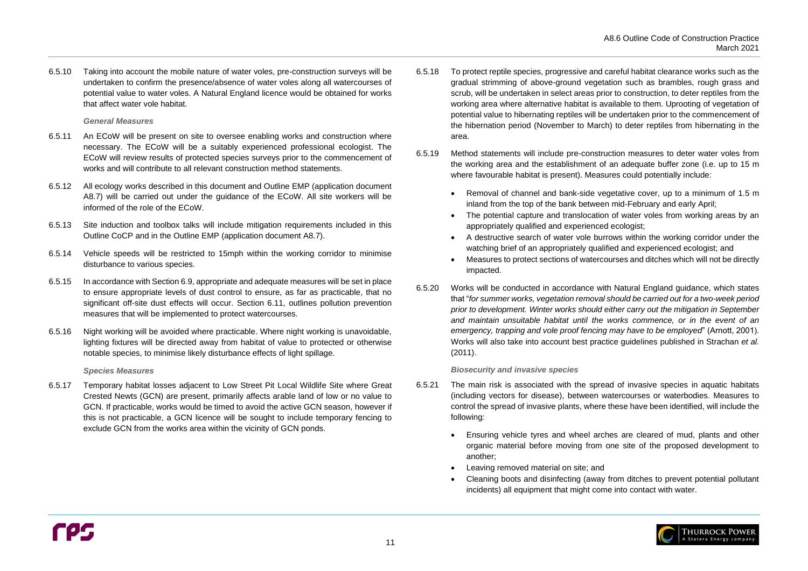6.5.10 Taking into account the mobile nature of water voles, pre-construction surveys will be undertaken to confirm the presence/absence of water voles along all watercourses of potential value to water voles. A Natural England licence would be obtained for works that affect water vole habitat.

### *General Measures*

- 6.5.11 An ECoW will be present on site to oversee enabling works and construction where necessary. The ECoW will be a suitably experienced professional ecologist. The ECoW will review results of protected species surveys prior to the commencement of works and will contribute to all relevant construction method statements.
- 6.5.12 All ecology works described in this document and Outline EMP (application document A8.7) will be carried out under the guidance of the ECoW. All site workers will be informed of the role of the ECoW.
- 6.5.13 Site induction and toolbox talks will include mitigation requirements included in this Outline CoCP and in the Outline EMP (application document A8.7).
- 6.5.14 Vehicle speeds will be restricted to 15mph within the working corridor to minimise disturbance to various species.
- 6.5.15 In accordance with Sectio[n 6.9,](#page-17-0) appropriate and adequate measures will be set in place to ensure appropriate levels of dust control to ensure, as far as practicable, that no significant off-site dust effects will occur. Section [6.11,](#page-19-1) outlines pollution prevention measures that will be implemented to protect watercourses.
- 6.5.16 Night working will be avoided where practicable. Where night working is unavoidable, lighting fixtures will be directed away from habitat of value to protected or otherwise notable species, to minimise likely disturbance effects of light spillage.

#### *Species Measures*

6.5.17 Temporary habitat losses adjacent to Low Street Pit Local Wildlife Site where Great Crested Newts (GCN) are present, primarily affects arable land of low or no value to GCN. If practicable, works would be timed to avoid the active GCN season, however if this is not practicable, a GCN licence will be sought to include temporary fencing to exclude GCN from the works area within the vicinity of GCN ponds.

- 6.5.18 To protect reptile species, progressive and careful habitat clearance works such as the gradual strimming of above-ground vegetation such as brambles, rough grass and scrub, will be undertaken in select areas prior to construction, to deter reptiles from the working area where alternative habitat is available to them. Uprooting of vegetation of potential value to hibernating reptiles will be undertaken prior to the commencement of the hibernation period (November to March) to deter reptiles from hibernating in the area.
- 6.5.19 Method statements will include pre-construction measures to deter water voles from the working area and the establishment of an adequate buffer zone (i.e. up to 15 m where favourable habitat is present). Measures could potentially include:
	- Removal of channel and bank-side vegetative cover, up to a minimum of 1.5 m inland from the top of the bank between mid-February and early April;
	- The potential capture and translocation of water voles from working areas by an appropriately qualified and experienced ecologist;
	- A destructive search of water vole burrows within the working corridor under the watching brief of an appropriately qualified and experienced ecologist; and
	- Measures to protect sections of watercourses and ditches which will not be directly impacted.
- 6.5.20 Works will be conducted in accordance with Natural England guidance, which states that "*for summer works, vegetation removal should be carried out for a two-week period prior to development. Winter works should either carry out the mitigation in September and maintain unsuitable habitat until the works commence, or in the event of an emergency, trapping and vole proof fencing may have to be employed*" (Arnott, 2001). Works will also take into account best practice guidelines published in Strachan *et al.* (2011).

#### *Biosecurity and invasive species*

- <span id="page-14-0"></span>6.5.21 The main risk is associated with the spread of invasive species in aquatic habitats (including vectors for disease), between watercourses or waterbodies. Measures to control the spread of invasive plants, where these have been identified, will include the following:
	- Ensuring vehicle tyres and wheel arches are cleared of mud, plants and other another;
	- Leaving removed material on site; and
	- incidents) all equipment that might come into contact with water.

organic material before moving from one site of the proposed development to

• Cleaning boots and disinfecting (away from ditches to prevent potential pollutant

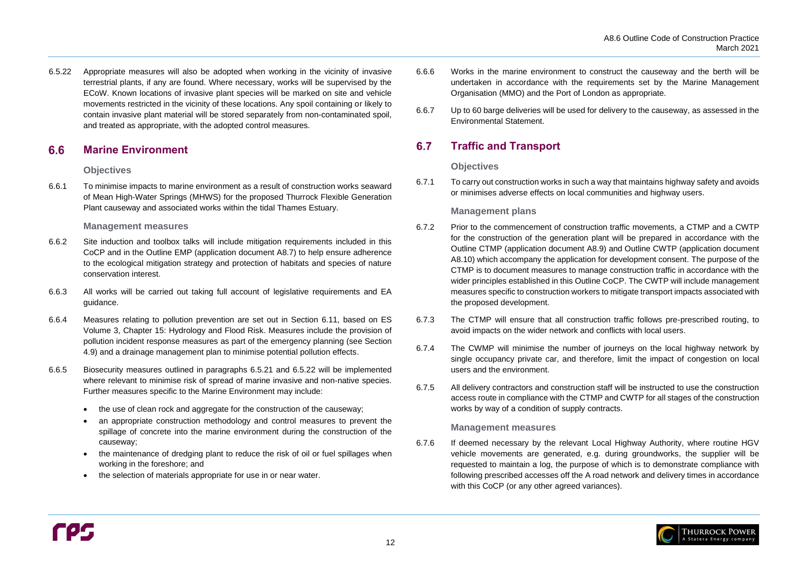

#### <span id="page-15-0"></span> $6.6$ **Marine Environment**

6.5.22 Appropriate measures will also be adopted when working in the vicinity of invasive terrestrial plants, if any are found. Where necessary, works will be supervised by the ECoW. Known locations of invasive plant species will be marked on site and vehicle movements restricted in the vicinity of these locations. Any spoil containing or likely to contain invasive plant material will be stored separately from non-contaminated spoil, and treated as appropriate, with the adopted control measures.

- 6.6.2 Site induction and toolbox talks will include mitigation requirements included in this CoCP and in the Outline EMP (application document A8.7) to help ensure adherence to the ecological mitigation strategy and protection of habitats and species of nature conservation interest.
- 6.6.3 All works will be carried out taking full account of legislative requirements and EA guidance.
- 6.6.4 Measures relating to pollution prevention are set out in Section [6.11,](#page-19-1) based on ES Volume 3, Chapter 15: Hydrology and Flood Risk. Measures include the provision of pollution incident response measures as part of the emergency planning (see Section [4.9\)](#page-9-4) and a drainage management plan to minimise potential pollution effects.
- 6.6.5 Biosecurity measures outlined in paragraphs [6.5.21](#page-14-0) and 6.5.22 will be implemented where relevant to minimise risk of spread of marine invasive and non-native species. Further measures specific to the Marine Environment may include:
	- the use of clean rock and aggregate for the construction of the causeway;
	- an appropriate construction methodology and control measures to prevent the spillage of concrete into the marine environment during the construction of the causeway;
	- the maintenance of dredging plant to reduce the risk of oil or fuel spillages when working in the foreshore; and
	- the selection of materials appropriate for use in or near water.

### **Objectives**

6.6.1 To minimise impacts to marine environment as a result of construction works seaward of Mean High-Water Springs (MHWS) for the proposed Thurrock Flexible Generation Plant causeway and associated works within the tidal Thames Estuary.

### **Management measures**

#### <span id="page-15-1"></span>6.7 **Traffic and Transport**

6.7.6 If deemed necessary by the relevant Local Highway Authority, where routine HGV vehicle movements are generated, e.g. during groundworks, the supplier will be requested to maintain a log, the purpose of which is to demonstrate compliance with following prescribed accesses off the A road network and delivery times in accordance with this CoCP (or any other agreed variances).

- 6.6.6 Works in the marine environment to construct the causeway and the berth will be undertaken in accordance with the requirements set by the Marine Management Organisation (MMO) and the Port of London as appropriate.
- 6.6.7 Up to 60 barge deliveries will be used for delivery to the causeway, as assessed in the Environmental Statement.

### **Objectives**

6.7.1 To carry out construction works in such a way that maintains highway safety and avoids or minimises adverse effects on local communities and highway users.

## **Management plans**

- 6.7.2 Prior to the commencement of construction traffic movements, a CTMP and a CWTP for the construction of the generation plant will be prepared in accordance with the Outline CTMP (application document A8.9) and Outline CWTP (application document A8.10) which accompany the application for development consent. The purpose of the CTMP is to document measures to manage construction traffic in accordance with the wider principles established in this Outline CoCP. The CWTP will include management measures specific to construction workers to mitigate transport impacts associated with the proposed development.
- 6.7.3 The CTMP will ensure that all construction traffic follows pre-prescribed routing, to avoid impacts on the wider network and conflicts with local users.
- 6.7.4 The CWMP will minimise the number of journeys on the local highway network by single occupancy private car, and therefore, limit the impact of congestion on local users and the environment.
- 6.7.5 All delivery contractors and construction staff will be instructed to use the construction access route in compliance with the CTMP and CWTP for all stages of the construction works by way of a condition of supply contracts.

### **Management measures**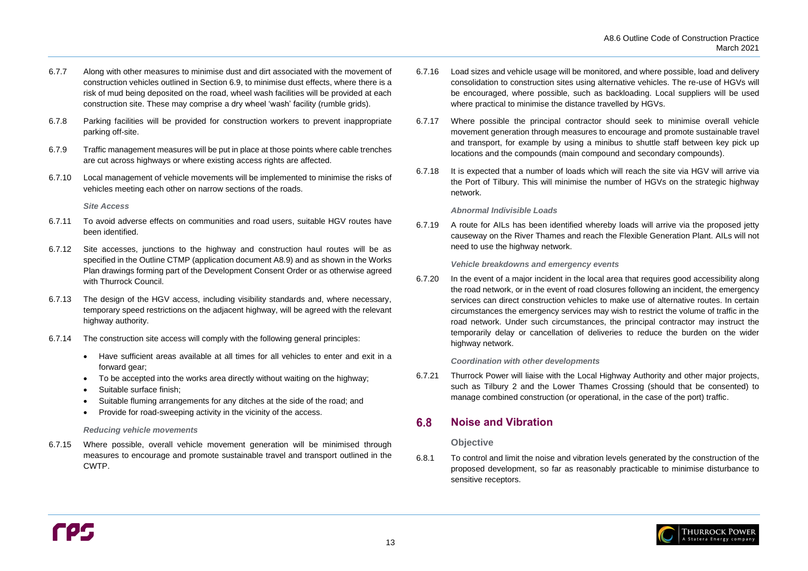

- 6.7.7 Along with other measures to minimise dust and dirt associated with the movement of construction vehicles outlined in Section [6.9,](#page-17-0) to minimise dust effects, where there is a risk of mud being deposited on the road, wheel wash facilities will be provided at each construction site. These may comprise a dry wheel 'wash' facility (rumble grids).
- 6.7.8 Parking facilities will be provided for construction workers to prevent inappropriate parking off-site.
- 6.7.9 Traffic management measures will be put in place at those points where cable trenches are cut across highways or where existing access rights are affected.
- 6.7.10 Local management of vehicle movements will be implemented to minimise the risks of vehicles meeting each other on narrow sections of the roads.

*Site Access*

- 6.7.11 To avoid adverse effects on communities and road users, suitable HGV routes have been identified.
- 6.7.12 Site accesses, junctions to the highway and construction haul routes will be as specified in the Outline CTMP (application document A8.9) and as shown in the Works Plan drawings forming part of the Development Consent Order or as otherwise agreed with Thurrock Council.
- 6.7.13 The design of the HGV access, including visibility standards and, where necessary, temporary speed restrictions on the adjacent highway, will be agreed with the relevant highway authority.
- 6.7.14 The construction site access will comply with the following general principles:
	- Have sufficient areas available at all times for all vehicles to enter and exit in a forward gear;
	- To be accepted into the works area directly without waiting on the highway;
	- Suitable surface finish:
	- Suitable fluming arrangements for any ditches at the side of the road; and
	- Provide for road-sweeping activity in the vicinity of the access.

#### *Reducing vehicle movements*

6.7.15 Where possible, overall vehicle movement generation will be minimised through measures to encourage and promote sustainable travel and transport outlined in the CWTP.

#### <span id="page-16-0"></span>6.8 **Noise and Vibration**

- 6.7.16 Load sizes and vehicle usage will be monitored, and where possible, load and delivery consolidation to construction sites using alternative vehicles. The re-use of HGVs will be encouraged, where possible, such as backloading. Local suppliers will be used where practical to minimise the distance travelled by HGVs.
- 6.7.17 Where possible the principal contractor should seek to minimise overall vehicle movement generation through measures to encourage and promote sustainable travel and transport, for example by using a minibus to shuttle staff between key pick up locations and the compounds (main compound and secondary compounds).
- 6.7.18 It is expected that a number of loads which will reach the site via HGV will arrive via the Port of Tilbury. This will minimise the number of HGVs on the strategic highway network.

### *Abnormal Indivisible Loads*

6.7.19 A route for AILs has been identified whereby loads will arrive via the proposed jetty causeway on the River Thames and reach the Flexible Generation Plant. AILs will not need to use the highway network.

*Vehicle breakdowns and emergency events* 

6.7.20 In the event of a major incident in the local area that requires good accessibility along the road network, or in the event of road closures following an incident, the emergency services can direct construction vehicles to make use of alternative routes. In certain circumstances the emergency services may wish to restrict the volume of traffic in the road network. Under such circumstances, the principal contractor may instruct the temporarily delay or cancellation of deliveries to reduce the burden on the wider highway network.

### *Coordination with other developments*

6.7.21 Thurrock Power will liaise with the Local Highway Authority and other major projects, such as Tilbury 2 and the Lower Thames Crossing (should that be consented) to manage combined construction (or operational, in the case of the port) traffic.

### **Objective**

6.8.1 To control and limit the noise and vibration levels generated by the construction of the proposed development, so far as reasonably practicable to minimise disturbance to sensitive receptors.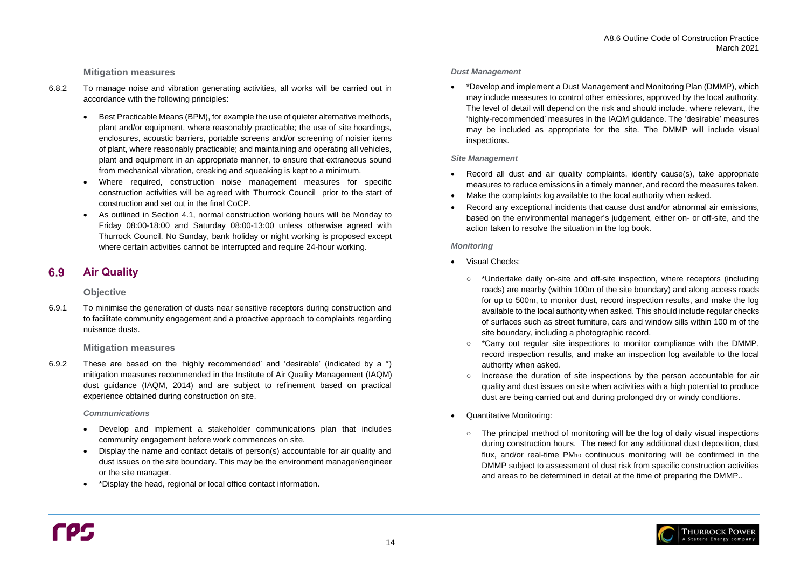### **Mitigation measures**

#### <span id="page-17-0"></span>**Air Quality** 6.9

- 6.8.2 To manage noise and vibration generating activities, all works will be carried out in accordance with the following principles:
	- Best Practicable Means (BPM), for example the use of quieter alternative methods, plant and/or equipment, where reasonably practicable; the use of site hoardings, enclosures, acoustic barriers, portable screens and/or screening of noisier items of plant, where reasonably practicable; and maintaining and operating all vehicles, plant and equipment in an appropriate manner, to ensure that extraneous sound from mechanical vibration, creaking and squeaking is kept to a minimum.
	- Where required, construction noise management measures for specific construction activities will be agreed with Thurrock Council prior to the start of construction and set out in the final CoCP.
	- As outlined in Section [4.1,](#page-8-1) normal construction working hours will be Monday to Friday 08:00-18:00 and Saturday 08:00-13:00 unless otherwise agreed with Thurrock Council. No Sunday, bank holiday or night working is proposed except where certain activities cannot be interrupted and require 24-hour working.

### **Objective**

6.9.1 To minimise the generation of dusts near sensitive receptors during construction and to facilitate community engagement and a proactive approach to complaints regarding nuisance dusts.

### **Mitigation measures**

- 
- Make the complaints log available to the local authority when asked.
- action taken to resolve the situation in the log book.

6.9.2 These are based on the 'highly recommended' and 'desirable' (indicated by a \*) mitigation measures recommended in the Institute of Air Quality Management (IAQM) dust guidance (IAQM, 2014) and are subject to refinement based on practical experience obtained during construction on site.

#### *Communications*

- Develop and implement a stakeholder communications plan that includes community engagement before work commences on site.
- Display the name and contact details of person(s) accountable for air quality and dust issues on the site boundary. This may be the environment manager/engineer or the site manager.
- \*Display the head, regional or local office contact information.

#### *Dust Management*

• \*Develop and implement a Dust Management and Monitoring Plan (DMMP), which inspections.

may include measures to control other emissions, approved by the local authority. The level of detail will depend on the risk and should include, where relevant, the 'highly-recommended' measures in the IAQM guidance. The 'desirable' measures may be included as appropriate for the site. The DMMP will include visual

### *Site Management*

• Record all dust and air quality complaints, identify cause(s), take appropriate measures to reduce emissions in a timely manner, and record the measures taken.

• Record any exceptional incidents that cause dust and/or abnormal air emissions, based on the environmental manager's judgement, either on- or off-site, and the

### *Monitoring*

○ \*Undertake daily on-site and off-site inspection, where receptors (including roads) are nearby (within 100m of the site boundary) and along access roads for up to 500m, to monitor dust, record inspection results, and make the log available to the local authority when asked. This should include regular checks of surfaces such as street furniture, cars and window sills within 100 m of the

- Visual Checks:
	- site boundary, including a photographic record.
	- authority when asked.
	- dust are being carried out and during prolonged dry or windy conditions.
- Quantitative Monitoring:
	-

○ \*Carry out regular site inspections to monitor compliance with the DMMP, record inspection results, and make an inspection log available to the local

○ Increase the duration of site inspections by the person accountable for air quality and dust issues on site when activities with a high potential to produce

○ The principal method of monitoring will be the log of daily visual inspections during construction hours. The need for any additional dust deposition, dust flux, and/or real-time PM<sup>10</sup> continuous monitoring will be confirmed in the DMMP subject to assessment of dust risk from specific construction activities and areas to be determined in detail at the time of preparing the DMMP..

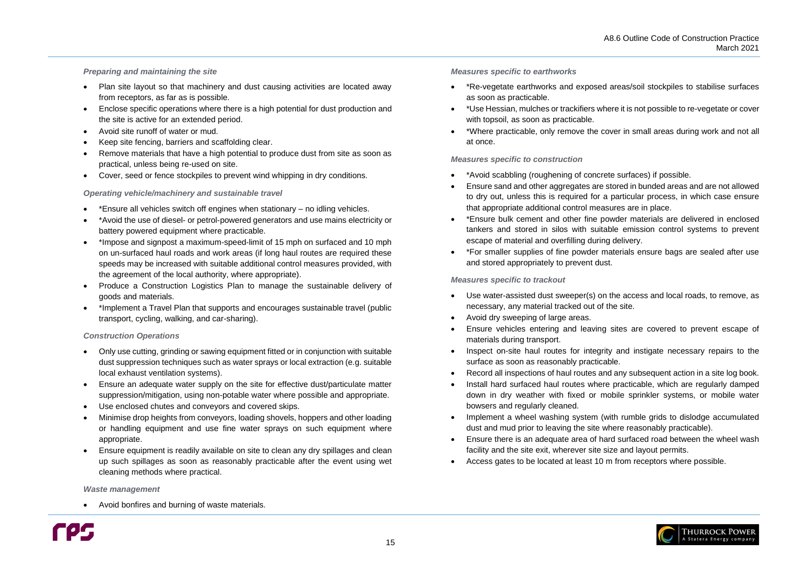### *Preparing and maintaining the site*

- Plan site layout so that machinery and dust causing activities are located away from receptors, as far as is possible.
- Enclose specific operations where there is a high potential for dust production and the site is active for an extended period.
- Avoid site runoff of water or mud.
- Keep site fencing, barriers and scaffolding clear.
- Remove materials that have a high potential to produce dust from site as soon as practical, unless being re-used on site.
- Cover, seed or fence stockpiles to prevent wind whipping in dry conditions.

#### *Operating vehicle/machinery and sustainable travel*

- \*Ensure all vehicles switch off engines when stationary no idling vehicles.
- \*Avoid the use of diesel- or petrol-powered generators and use mains electricity or battery powered equipment where practicable.
- \*Impose and signpost a maximum-speed-limit of 15 mph on surfaced and 10 mph on un-surfaced haul roads and work areas (if long haul routes are required these speeds may be increased with suitable additional control measures provided, with the agreement of the local authority, where appropriate).
- Produce a Construction Logistics Plan to manage the sustainable delivery of goods and materials.
- \*Implement a Travel Plan that supports and encourages sustainable travel (public transport, cycling, walking, and car-sharing).

#### *Construction Operations*

- Only use cutting, grinding or sawing equipment fitted or in conjunction with suitable dust suppression techniques such as water sprays or local extraction (e.g. suitable local exhaust ventilation systems).
- Ensure an adequate water supply on the site for effective dust/particulate matter suppression/mitigation, using non-potable water where possible and appropriate.
- Use enclosed chutes and conveyors and covered skips.
- Minimise drop heights from conveyors, loading shovels, hoppers and other loading or handling equipment and use fine water sprays on such equipment where appropriate.
- Ensure equipment is readily available on site to clean any dry spillages and clean up such spillages as soon as reasonably practicable after the event using wet cleaning methods where practical.

#### *Waste management*

• Avoid bonfires and burning of waste materials.



#### *Measures specific to earthworks*

• \*Re-vegetate earthworks and exposed areas/soil stockpiles to stabilise surfaces

• \*Use Hessian, mulches or trackifiers where it is not possible to re-vegetate or cover

- as soon as practicable.
- with topsoil, as soon as practicable.
- at once.

• \*Where practicable, only remove the cover in small areas during work and not all

#### *Measures specific to construction*

• Ensure sand and other aggregates are stored in bunded areas and are not allowed to dry out, unless this is required for a particular process, in which case ensure

- \*Avoid scabbling (roughening of concrete surfaces) if possible.
- that appropriate additional control measures are in place.
- escape of material and overfilling during delivery.
- and stored appropriately to prevent dust.

• \*Ensure bulk cement and other fine powder materials are delivered in enclosed tankers and stored in silos with suitable emission control systems to prevent

• \*For smaller supplies of fine powder materials ensure bags are sealed after use

### *Measures specific to trackout*

• Use water-assisted dust sweeper(s) on the access and local roads, to remove, as

• Ensure vehicles entering and leaving sites are covered to prevent escape of

• Inspect on-site haul routes for integrity and instigate necessary repairs to the

• Record all inspections of haul routes and any subsequent action in a site log book. • Install hard surfaced haul routes where practicable, which are regularly damped down in dry weather with fixed or mobile sprinkler systems, or mobile water

- necessary, any material tracked out of the site.
- Avoid dry sweeping of large areas.
- materials during transport.
- surface as soon as reasonably practicable.
- 
- bowsers and regularly cleaned.
- dust and mud prior to leaving the site where reasonably practicable).
- facility and the site exit, wherever site size and layout permits.
- Access gates to be located at least 10 m from receptors where possible.

• Implement a wheel washing system (with rumble grids to dislodge accumulated

• Ensure there is an adequate area of hard surfaced road between the wheel wash

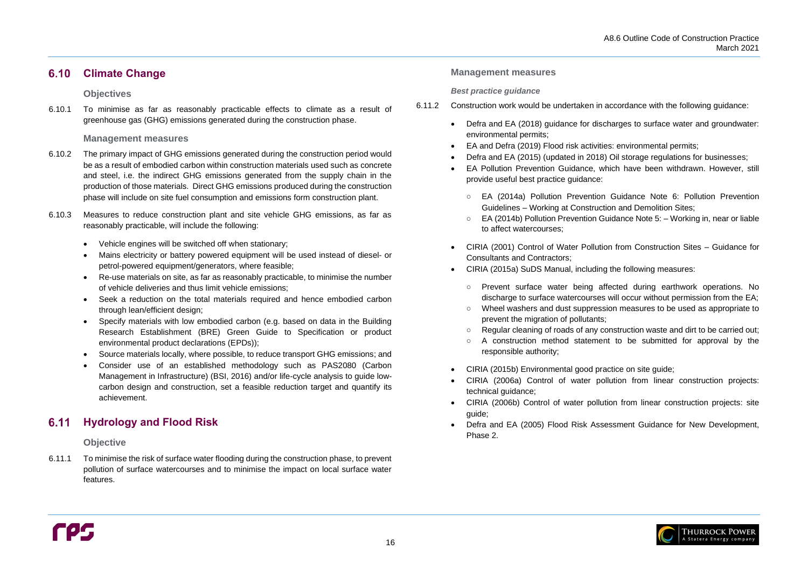#### <span id="page-19-0"></span>**Climate Change**  $6.10$

### **Objectives**

6.10.1 To minimise as far as reasonably practicable effects to climate as a result of greenhouse gas (GHG) emissions generated during the construction phase.

### **Management measures**

#### <span id="page-19-1"></span>**Hydrology and Flood Risk** 6.11

- 6.10.2 The primary impact of GHG emissions generated during the construction period would be as a result of embodied carbon within construction materials used such as concrete and steel, i.e. the indirect GHG emissions generated from the supply chain in the production of those materials. Direct GHG emissions produced during the construction phase will include on site fuel consumption and emissions form construction plant.
- 6.10.3 Measures to reduce construction plant and site vehicle GHG emissions, as far as reasonably practicable, will include the following:
	- Vehicle engines will be switched off when stationary;
	- Mains electricity or battery powered equipment will be used instead of diesel- or petrol-powered equipment/generators, where feasible;
	- Re-use materials on site, as far as reasonably practicable, to minimise the number of vehicle deliveries and thus limit vehicle emissions;
	- Seek a reduction on the total materials required and hence embodied carbon through lean/efficient design;
	- Specify materials with low embodied carbon (e.g. based on data in the Building Research Establishment (BRE) Green Guide to Specification or product environmental product declarations (EPDs));
	- Source materials locally, where possible, to reduce transport GHG emissions; and
	- Consider use of an established methodology such as PAS2080 (Carbon Management in Infrastructure) (BSI, 2016) and/or life-cycle analysis to guide lowcarbon design and construction, set a feasible reduction target and quantify its achievement.

Prevent surface water being affected during earthwork operations. No discharge to surface watercourses will occur without permission from the EA; ○ Wheel washers and dust suppression measures to be used as appropriate to

○ Regular cleaning of roads of any construction waste and dirt to be carried out; A construction method statement to be submitted for approval by the

## **Objective**

6.11.1 To minimise the risk of surface water flooding during the construction phase, to prevent pollution of surface watercourses and to minimise the impact on local surface water features.

### **Management measures**

### *Best practice guidance*

• EA Pollution Prevention Guidance, which have been withdrawn. However, still

○ EA (2014a) Pollution Prevention Guidance Note 6: Pollution Prevention ○ EA (2014b) Pollution Prevention Guidance Note 5: – Working in, near or liable

• CIRIA (2001) Control of Water Pollution from Construction Sites – Guidance for

- 6.11.2 Construction work would be undertaken in accordance with the following guidance:
	- Defra and EA (2018) guidance for discharges to surface water and groundwater: environmental permits;
	- EA and Defra (2019) Flood risk activities: environmental permits;
	- Defra and EA (2015) (updated in 2018) Oil storage regulations for businesses;
	- provide useful best practice guidance:
		- Guidelines Working at Construction and Demolition Sites;
		- to affect watercourses;
	- Consultants and Contractors;
	- CIRIA (2015a) SuDS Manual, including the following measures:
		-
		- prevent the migration of pollutants;
		-
		- responsible authority;
	- CIRIA (2015b) Environmental good practice on site guide;
	- technical guidance;
	- guide;
	- Defra and EA (2005) Flood Risk Assessment Guidance for New Development, Phase 2.

• CIRIA (2006a) Control of water pollution from linear construction projects:

• CIRIA (2006b) Control of water pollution from linear construction projects: site

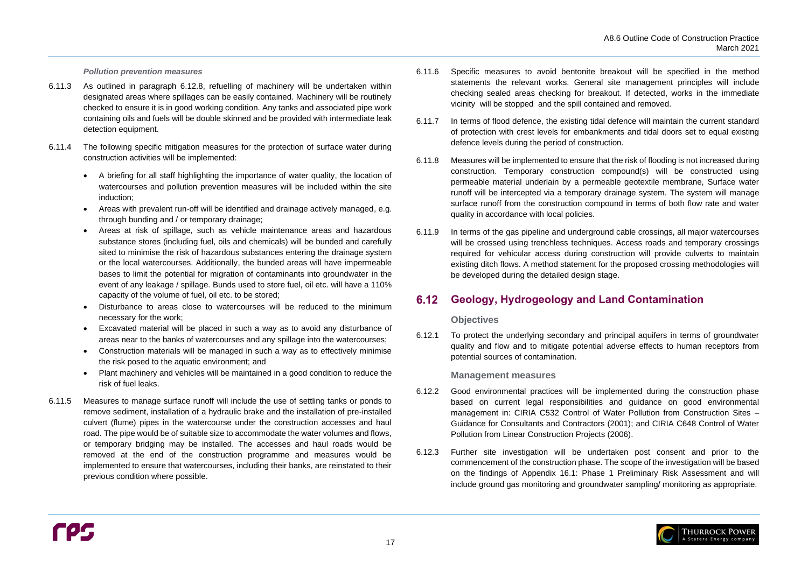

#### *Pollution prevention measures*

- 6.11.3 As outlined in paragraph [6.12.8,](#page-21-1) refuelling of machinery will be undertaken within designated areas where spillages can be easily contained. Machinery will be routinely checked to ensure it is in good working condition. Any tanks and associated pipe work containing oils and fuels will be double skinned and be provided with intermediate leak detection equipment.
- 6.11.4 The following specific mitigation measures for the protection of surface water during construction activities will be implemented:
	- A briefing for all staff highlighting the importance of water quality, the location of watercourses and pollution prevention measures will be included within the site induction;
	- Areas with prevalent run-off will be identified and drainage actively managed, e.g. through bunding and / or temporary drainage;
	- Areas at risk of spillage, such as vehicle maintenance areas and hazardous substance stores (including fuel, oils and chemicals) will be bunded and carefully sited to minimise the risk of hazardous substances entering the drainage system or the local watercourses. Additionally, the bunded areas will have impermeable bases to limit the potential for migration of contaminants into groundwater in the event of any leakage / spillage. Bunds used to store fuel, oil etc. will have a 110% capacity of the volume of fuel, oil etc. to be stored;
	- Disturbance to areas close to watercourses will be reduced to the minimum necessary for the work;
	- Excavated material will be placed in such a way as to avoid any disturbance of areas near to the banks of watercourses and any spillage into the watercourses;
	- Construction materials will be managed in such a way as to effectively minimise the risk posed to the aquatic environment; and
	- Plant machinery and vehicles will be maintained in a good condition to reduce the risk of fuel leaks.
- 6.11.5 Measures to manage surface runoff will include the use of settling tanks or ponds to remove sediment, installation of a hydraulic brake and the installation of pre-installed culvert (flume) pipes in the watercourse under the construction accesses and haul road. The pipe would be of suitable size to accommodate the water volumes and flows, or temporary bridging may be installed. The accesses and haul roads would be removed at the end of the construction programme and measures would be implemented to ensure that watercourses, including their banks, are reinstated to their previous condition where possible.

#### <span id="page-20-0"></span> $6.12$ **Geology, Hydrogeology and Land Contamination**

- 6.11.6 Specific measures to avoid bentonite breakout will be specified in the method statements the relevant works. General site management principles will include checking sealed areas checking for breakout. If detected, works in the immediate vicinity will be stopped and the spill contained and removed.
- 6.11.7 In terms of flood defence, the existing tidal defence will maintain the current standard of protection with crest levels for embankments and tidal doors set to equal existing defence levels during the period of construction.
- 6.11.8 Measures will be implemented to ensure that the risk of flooding is not increased during construction. Temporary construction compound(s) will be constructed using permeable material underlain by a permeable geotextile membrane, Surface water runoff will be intercepted via a temporary drainage system. The system will manage surface runoff from the construction compound in terms of both flow rate and water quality in accordance with local policies.
- 6.11.9 In terms of the gas pipeline and underground cable crossings, all major watercourses will be crossed using trenchless techniques. Access roads and temporary crossings required for vehicular access during construction will provide culverts to maintain existing ditch flows. A method statement for the proposed crossing methodologies will be developed during the detailed design stage.

### **Objectives**

6.12.1 To protect the underlying secondary and principal aquifers in terms of groundwater quality and flow and to mitigate potential adverse effects to human receptors from potential sources of contamination.

### **Management measures**

- 6.12.2 Good environmental practices will be implemented during the construction phase based on current legal responsibilities and guidance on good environmental management in: CIRIA C532 Control of Water Pollution from Construction Sites – Guidance for Consultants and Contractors (2001); and CIRIA C648 Control of Water Pollution from Linear Construction Projects (2006).
- 6.12.3 Further site investigation will be undertaken post consent and prior to the commencement of the construction phase. The scope of the investigation will be based on the findings of Appendix 16.1: Phase 1 Preliminary Risk Assessment and will include ground gas monitoring and groundwater sampling/ monitoring as appropriate.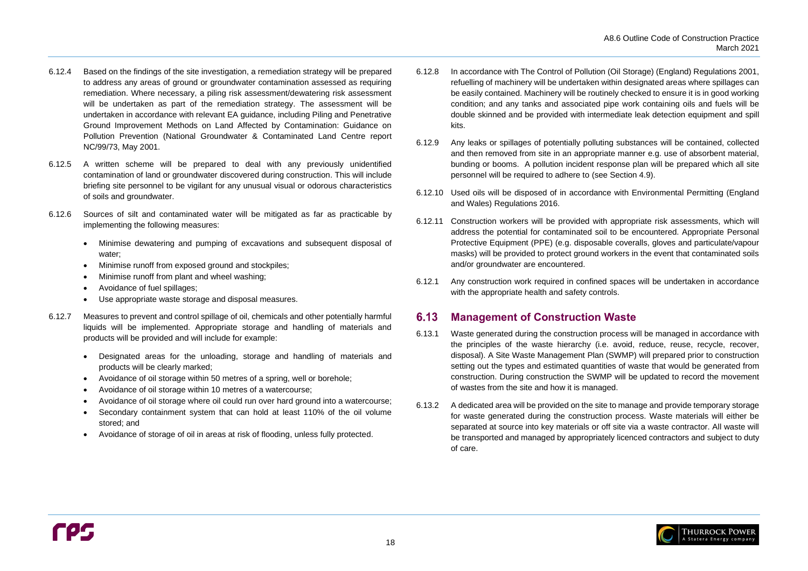

- 6.12.4 Based on the findings of the site investigation, a remediation strategy will be prepared to address any areas of ground or groundwater contamination assessed as requiring remediation. Where necessary, a piling risk assessment/dewatering risk assessment will be undertaken as part of the remediation strategy. The assessment will be undertaken in accordance with relevant EA guidance, including Piling and Penetrative Ground Improvement Methods on Land Affected by Contamination: Guidance on Pollution Prevention (National Groundwater & Contaminated Land Centre report NC/99/73, May 2001.
- 6.12.5 A written scheme will be prepared to deal with any previously unidentified contamination of land or groundwater discovered during construction. This will include briefing site personnel to be vigilant for any unusual visual or odorous characteristics of soils and groundwater.
- 6.12.6 Sources of silt and contaminated water will be mitigated as far as practicable by implementing the following measures:
	- Minimise dewatering and pumping of excavations and subsequent disposal of water;
	- Minimise runoff from exposed ground and stockpiles;
	- Minimise runoff from plant and wheel washing;
	- Avoidance of fuel spillages;
	- Use appropriate waste storage and disposal measures.
- 6.12.7 Measures to prevent and control spillage of oil, chemicals and other potentially harmful liquids will be implemented. Appropriate storage and handling of materials and products will be provided and will include for example:
	- Designated areas for the unloading, storage and handling of materials and products will be clearly marked;
	- Avoidance of oil storage within 50 metres of a spring, well or borehole;
	- Avoidance of oil storage within 10 metres of a watercourse;
	- Avoidance of oil storage where oil could run over hard ground into a watercourse;
	- Secondary containment system that can hold at least 110% of the oil volume stored; and
	- Avoidance of storage of oil in areas at risk of flooding, unless fully protected.

#### <span id="page-21-0"></span> $6.13$ **Management of Construction Waste**

- <span id="page-21-1"></span>6.12.8 In accordance with The Control of Pollution (Oil Storage) (England) Regulations 2001, refuelling of machinery will be undertaken within designated areas where spillages can be easily contained. Machinery will be routinely checked to ensure it is in good working condition; and any tanks and associated pipe work containing oils and fuels will be double skinned and be provided with intermediate leak detection equipment and spill kits.
- 6.12.9 Any leaks or spillages of potentially polluting substances will be contained, collected and then removed from site in an appropriate manner e.g. use of absorbent material, bunding or booms. A pollution incident response plan will be prepared which all site personnel will be required to adhere to (see Section [4.9\)](#page-9-4).
- 6.12.10 Used oils will be disposed of in accordance with Environmental Permitting (England and Wales) Regulations 2016.
- 6.12.11 Construction workers will be provided with appropriate risk assessments, which will address the potential for contaminated soil to be encountered. Appropriate Personal Protective Equipment (PPE) (e.g. disposable coveralls, gloves and particulate/vapour masks) will be provided to protect ground workers in the event that contaminated soils and/or groundwater are encountered.
- 6.12.1 Any construction work required in confined spaces will be undertaken in accordance with the appropriate health and safety controls.

- 6.13.1 Waste generated during the construction process will be managed in accordance with the principles of the waste hierarchy (i.e. avoid, reduce, reuse, recycle, recover, disposal). A Site Waste Management Plan (SWMP) will prepared prior to construction setting out the types and estimated quantities of waste that would be generated from construction. During construction the SWMP will be updated to record the movement of wastes from the site and how it is managed.
- 6.13.2 A dedicated area will be provided on the site to manage and provide temporary storage for waste generated during the construction process. Waste materials will either be separated at source into key materials or off site via a waste contractor. All waste will be transported and managed by appropriately licenced contractors and subject to duty of care.